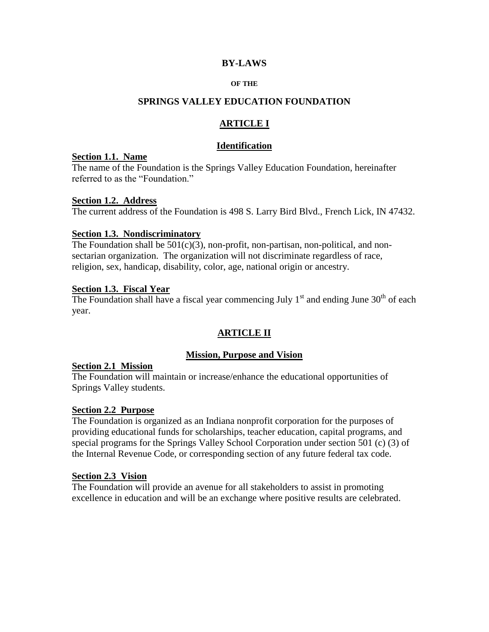### **BY-LAWS**

#### **OF THE**

#### **SPRINGS VALLEY EDUCATION FOUNDATION**

# **ARTICLE I**

#### **Identification**

#### **Section 1.1. Name**

The name of the Foundation is the Springs Valley Education Foundation, hereinafter referred to as the "Foundation."

#### **Section 1.2. Address**

The current address of the Foundation is 498 S. Larry Bird Blvd., French Lick, IN 47432.

#### **Section 1.3. Nondiscriminatory**

The Foundation shall be  $501(c)(3)$ , non-profit, non-partisan, non-political, and nonsectarian organization. The organization will not discriminate regardless of race, religion, sex, handicap, disability, color, age, national origin or ancestry.

#### **Section 1.3. Fiscal Year**

The Foundation shall have a fiscal year commencing July  $1<sup>st</sup>$  and ending June  $30<sup>th</sup>$  of each year.

# **ARTICLE II**

### **Mission, Purpose and Vision**

#### **Section 2.1 Mission**

The Foundation will maintain or increase/enhance the educational opportunities of Springs Valley students.

#### **Section 2.2 Purpose**

The Foundation is organized as an Indiana nonprofit corporation for the purposes of providing educational funds for scholarships, teacher education, capital programs, and special programs for the Springs Valley School Corporation under section 501 (c) (3) of the Internal Revenue Code, or corresponding section of any future federal tax code.

#### **Section 2.3 Vision**

The Foundation will provide an avenue for all stakeholders to assist in promoting excellence in education and will be an exchange where positive results are celebrated.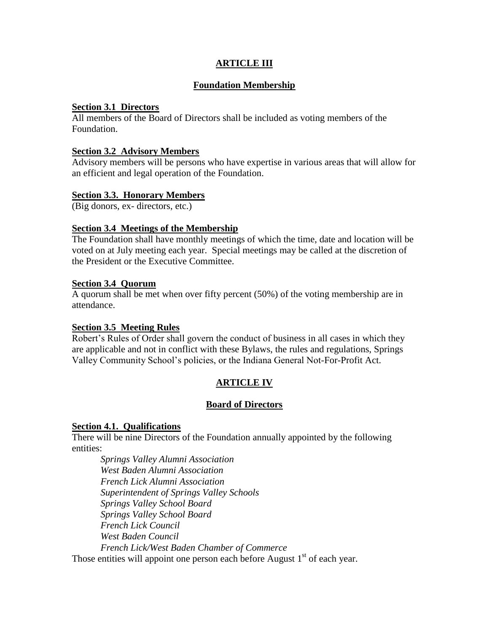# **ARTICLE III**

## **Foundation Membership**

### **Section 3.1 Directors**

All members of the Board of Directors shall be included as voting members of the Foundation.

#### **Section 3.2 Advisory Members**

Advisory members will be persons who have expertise in various areas that will allow for an efficient and legal operation of the Foundation.

### **Section 3.3. Honorary Members**

(Big donors, ex- directors, etc.)

### **Section 3.4 Meetings of the Membership**

The Foundation shall have monthly meetings of which the time, date and location will be voted on at July meeting each year. Special meetings may be called at the discretion of the President or the Executive Committee.

#### **Section 3.4 Quorum**

A quorum shall be met when over fifty percent (50%) of the voting membership are in attendance.

### **Section 3.5 Meeting Rules**

Robert's Rules of Order shall govern the conduct of business in all cases in which they are applicable and not in conflict with these Bylaws, the rules and regulations, Springs Valley Community School's policies, or the Indiana General Not-For-Profit Act.

# **ARTICLE IV**

### **Board of Directors**

#### **Section 4.1. Qualifications**

There will be nine Directors of the Foundation annually appointed by the following entities:

*Springs Valley Alumni Association West Baden Alumni Association French Lick Alumni Association Superintendent of Springs Valley Schools Springs Valley School Board Springs Valley School Board French Lick Council West Baden Council French Lick/West Baden Chamber of Commerce*

Those entities will appoint one person each before August 1<sup>st</sup> of each year.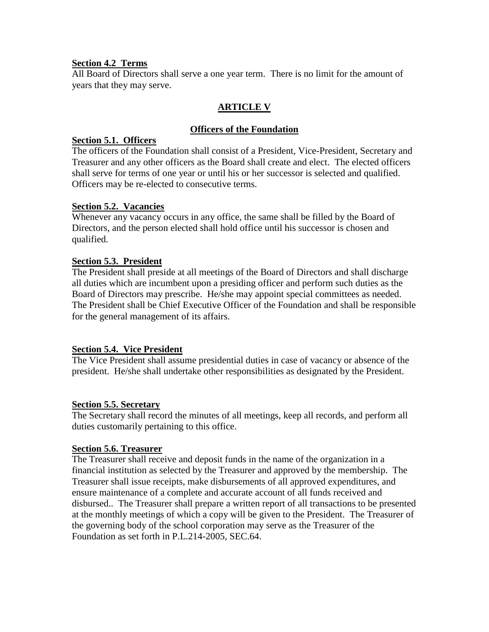# **Section 4.2 Terms**

All Board of Directors shall serve a one year term. There is no limit for the amount of years that they may serve.

# **ARTICLE V**

# **Officers of the Foundation**

# **Section 5.1. Officers**

The officers of the Foundation shall consist of a President, Vice-President, Secretary and Treasurer and any other officers as the Board shall create and elect. The elected officers shall serve for terms of one year or until his or her successor is selected and qualified. Officers may be re-elected to consecutive terms.

# **Section 5.2. Vacancies**

Whenever any vacancy occurs in any office, the same shall be filled by the Board of Directors, and the person elected shall hold office until his successor is chosen and qualified.

# **Section 5.3. President**

The President shall preside at all meetings of the Board of Directors and shall discharge all duties which are incumbent upon a presiding officer and perform such duties as the Board of Directors may prescribe. He/she may appoint special committees as needed. The President shall be Chief Executive Officer of the Foundation and shall be responsible for the general management of its affairs.

# **Section 5.4. Vice President**

The Vice President shall assume presidential duties in case of vacancy or absence of the president. He/she shall undertake other responsibilities as designated by the President.

# **Section 5.5. Secretary**

The Secretary shall record the minutes of all meetings, keep all records, and perform all duties customarily pertaining to this office.

### **Section 5.6. Treasurer**

The Treasurer shall receive and deposit funds in the name of the organization in a financial institution as selected by the Treasurer and approved by the membership. The Treasurer shall issue receipts, make disbursements of all approved expenditures, and ensure maintenance of a complete and accurate account of all funds received and disbursed.. The Treasurer shall prepare a written report of all transactions to be presented at the monthly meetings of which a copy will be given to the President. The Treasurer of the governing body of the school corporation may serve as the Treasurer of the Foundation as set forth in P.L.214-2005, SEC.64.